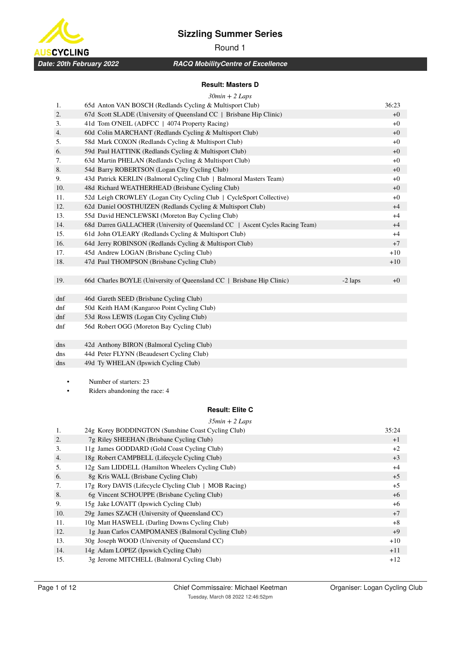

# Round 1

*RACQ MobilityCentre of Excellence*

#### **Result: Masters D**

|     | $30min + 2$ Laps                                                               |           |       |
|-----|--------------------------------------------------------------------------------|-----------|-------|
| 1.  | 65d Anton VAN BOSCH (Redlands Cycling & Multisport Club)                       |           | 36:23 |
| 2.  | 67d Scott SLADE (University of Queensland CC   Brisbane Hip Clinic)            |           | $+0$  |
| 3.  | 41d Tom O'NEIL (ADFCC   4074 Property Racing)                                  |           | $+0$  |
| 4.  | 60d Colin MARCHANT (Redlands Cycling & Multisport Club)                        |           | $+0$  |
| 5.  | 58d Mark COXON (Redlands Cycling & Multisport Club)                            |           | $+0$  |
| 6.  | 59d Paul HATTINK (Redlands Cycling & Multisport Club)                          |           | $+0$  |
| 7.  | 63d Martin PHELAN (Redlands Cycling & Multisport Club)                         |           | $+0$  |
| 8.  | 54d Barry ROBERTSON (Logan City Cycling Club)                                  |           | $+0$  |
| 9.  | 43d Patrick KERLIN (Balmoral Cycling Club   Balmoral Masters Team)             |           | $+0$  |
| 10. | 48d Richard WEATHERHEAD (Brisbane Cycling Club)                                |           | $+0$  |
| 11. | 52d Leigh CROWLEY (Logan City Cycling Club   CycleSport Collective)            |           | $+0$  |
| 12. | 62d Daniel OOSTHUIZEN (Redlands Cycling & Multisport Club)                     |           | $+4$  |
| 13. | 55d David HENCLEWSKI (Moreton Bay Cycling Club)                                |           | $+4$  |
| 14. | 68d Darren GALLACHER (University of Queensland CC   Ascent Cycles Racing Team) |           | $+4$  |
| 15. | 61d John O'LEARY (Redlands Cycling & Multisport Club)                          |           | $+4$  |
| 16. | 64d Jerry ROBINSON (Redlands Cycling & Multisport Club)                        |           | $+7$  |
| 17. | 45d Andrew LOGAN (Brisbane Cycling Club)                                       |           | $+10$ |
| 18. | 47d Paul THOMPSON (Brisbane Cycling Club)                                      |           | $+10$ |
|     |                                                                                |           |       |
| 19. | 66d Charles BOYLE (University of Queensland CC   Brisbane Hip Clinic)          | $-2$ laps | $+0$  |
|     |                                                                                |           |       |
| dnf | 46d Gareth SEED (Brisbane Cycling Club)                                        |           |       |
| dnf | 50d Keith HAM (Kangaroo Point Cycling Club)                                    |           |       |
| dnf | 53d Ross LEWIS (Logan City Cycling Club)                                       |           |       |
| dnf | 56d Robert OGG (Moreton Bay Cycling Club)                                      |           |       |
|     |                                                                                |           |       |
| dns | 42d Anthony BIRON (Balmoral Cycling Club)                                      |           |       |
| dns | 44d Peter FLYNN (Beaudesert Cycling Club)                                      |           |       |
| dns | 49d Ty WHELAN (Ipswich Cycling Club)                                           |           |       |
|     |                                                                                |           |       |

• Number of starters: 23

• Riders abandoning the race: 4

## **Result: Elite C**

|     | $35min + 2$ Laps                                      |       |
|-----|-------------------------------------------------------|-------|
| 1.  | 24g Korey BODDINGTON (Sunshine Coast Cycling Club)    | 35:24 |
| 2.  | 7g Riley SHEEHAN (Brisbane Cycling Club)              | $+1$  |
| 3.  | 11g James GODDARD (Gold Coast Cycling Club)           | $+2$  |
| 4.  | 18g Robert CAMPBELL (Lifecycle Cycling Club)          | $+3$  |
| 5.  | 12g Sam LIDDELL (Hamilton Wheelers Cycling Club)      | $+4$  |
| 6.  | 8g Kris WALL (Brisbane Cycling Club)                  | $+5$  |
| 7.  | 17g Rory DAVIS (Lifecycle Clycling Club   MOB Racing) | $+5$  |
| 8.  | 6g Vincent SCHOUPPE (Brisbane Cycling Club)           | $+6$  |
| 9.  | 15g Jake LOVATT (Ipswich Cycling Club)                | $+6$  |
| 10. | 29g James SZACH (University of Queensland CC)         | $+7$  |
| 11. | 10g Matt HASWELL (Darling Downs Cycling Club)         | $+8$  |
| 12. | 1g Juan Carlos CAMPOMANES (Balmoral Cycling Club)     | $+9$  |
| 13. | 30g Joseph WOOD (University of Queensland CC)         | $+10$ |
| 14. | 14g Adam LOPEZ (Ipswich Cycling Club)                 | $+11$ |
| 15. | 3g Jerome MITCHELL (Balmoral Cycling Club)            | $+12$ |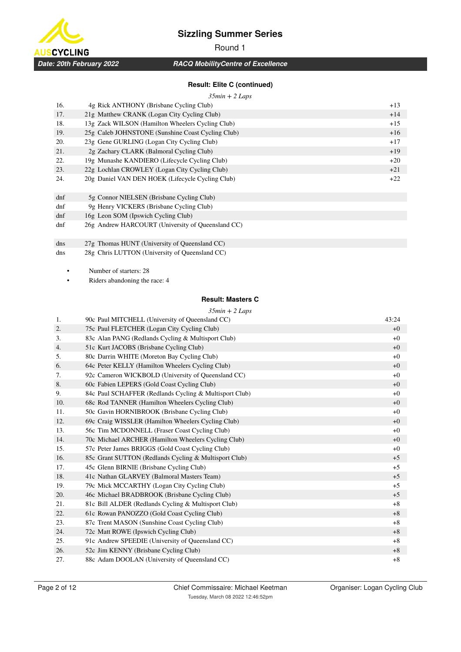

**USCYCLING** *Date: 20th February 2022*

# Round 1

*RACQ MobilityCentre of Excellence*

## **Result: Elite C (continued)**

#### *35min + 2 Laps*

| 16.    | 4g Rick ANTHONY (Brisbane Cycling Club)           | $+13$ |
|--------|---------------------------------------------------|-------|
| 17.    | 21g Matthew CRANK (Logan City Cycling Club)       | $+14$ |
| 18.    | 13g Zack WILSON (Hamilton Wheelers Cycling Club)  | $+15$ |
| 19.    | 25g Caleb JOHNSTONE (Sunshine Coast Cycling Club) | $+16$ |
| 20.    | 23g Gene GURLING (Logan City Cycling Club)        | $+17$ |
| 21.    | 2g Zachary CLARK (Balmoral Cycling Club)          | $+19$ |
| 22.    | 19g Munashe KANDIERO (Lifecycle Cycling Club)     | $+20$ |
| 23.    | 22g Lochlan CROWLEY (Logan City Cycling Club)     | $+21$ |
| 24.    | 20g Daniel VAN DEN HOEK (Lifecycle Cycling Club)  | $+22$ |
|        |                                                   |       |
| $d$ nf | 5g Connor NIELSEN (Brisbane Cycling Club)         |       |
| dnf    | 9g Henry VICKERS (Brisbane Cycling Club)          |       |
| $d$ nf | 16g Leon SOM (Ipswich Cycling Club)               |       |
| dnf    | 26g Andrew HARCOURT (University of Queensland CC) |       |
|        |                                                   |       |
| dns    | 27g Thomas HUNT (University of Queensland CC)     |       |
| dns    | 28g Chris LUTTON (University of Queensland CC)    |       |

• Number of starters: 28

Riders abandoning the race: 4

#### **Result: Masters C**

| 1.  | $35min + 2$ Laps<br>90c Paul MITCHELL (University of Queensland CC) | 43:24 |
|-----|---------------------------------------------------------------------|-------|
| 2.  | 75c Paul FLETCHER (Logan City Cycling Club)                         | $+0$  |
| 3.  | 83c Alan PANG (Redlands Cycling & Multisport Club)                  | $+0$  |
| 4.  | 51c Kurt JACOBS (Brisbane Cycling Club)                             | $+0$  |
| 5.  | 80c Darrin WHITE (Moreton Bay Cycling Club)                         | $+0$  |
| 6.  | 64c Peter KELLY (Hamilton Wheelers Cycling Club)                    | $+0$  |
| 7.  | 92c Cameron WICKBOLD (University of Queensland CC)                  | $+0$  |
| 8.  | 60c Fabien LEPERS (Gold Coast Cycling Club)                         | $+0$  |
| 9.  | 84c Paul SCHAFFER (Redlands Cycling & Multisport Club)              | $+0$  |
| 10. | 68c Rod TANNER (Hamilton Wheelers Cycling Club)                     | $+0$  |
| 11. | 50c Gavin HORNIBROOK (Brisbane Cycling Club)                        | $+0$  |
| 12. | 69c Craig WISSLER (Hamilton Wheelers Cycling Club)                  | $+0$  |
| 13. | 56c Tim MCDONNELL (Fraser Coast Cycling Club)                       | $+0$  |
| 14. | 70c Michael ARCHER (Hamilton Wheelers Cycling Club)                 | $+0$  |
| 15. | 57c Peter James BRIGGS (Gold Coast Cycling Club)                    | $+0$  |
| 16. | 85c Grant SUTTON (Redlands Cycling & Multisport Club)               | $+5$  |
| 17. | 45c Glenn BIRNIE (Brisbane Cycling Club)                            | $+5$  |
| 18. | 41c Nathan GLARVEY (Balmoral Masters Team)                          | $+5$  |
| 19. | 79c Mick MCCARTHY (Logan City Cycling Club)                         | $+5$  |
| 20. | 46c Michael BRADBROOK (Brisbane Cycling Club)                       | $+5$  |
| 21. | 81c Bill ALDER (Redlands Cycling & Multisport Club)                 | $+8$  |
| 22. | 61c Rowan PANOZZO (Gold Coast Cycling Club)                         | $+8$  |
| 23. | 87c Trent MASON (Sunshine Coast Cycling Club)                       | $+8$  |
| 24. | 72c Matt ROWE (Ipswich Cycling Club)                                | $+8$  |
| 25. | 91c Andrew SPEEDIE (University of Queensland CC)                    | $+8$  |
| 26. | 52c Jim KENNY (Brisbane Cycling Club)                               | $+8$  |
| 27. | 88c Adam DOOLAN (University of Queensland CC)                       | $+8$  |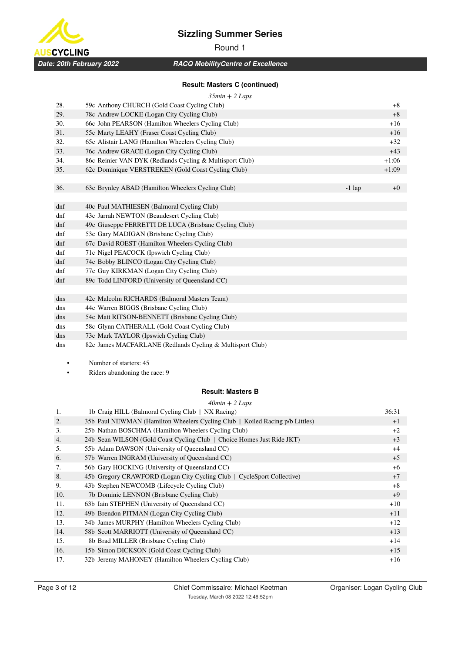



# Round 1

*RACQ MobilityCentre of Excellence*

### **Result: Masters C (continued)**

| $35min + 2 Laps$ |  |  |
|------------------|--|--|

|     | JJIIUI LEUDS                                              |          |         |
|-----|-----------------------------------------------------------|----------|---------|
| 28. | 59c Anthony CHURCH (Gold Coast Cycling Club)              |          | $+8$    |
| 29. | 78c Andrew LOCKE (Logan City Cycling Club)                |          | $+8$    |
| 30. | 66c John PEARSON (Hamilton Wheelers Cycling Club)         |          | $+16$   |
| 31. | 55c Marty LEAHY (Fraser Coast Cycling Club)               |          | $+16$   |
| 32. | 65c Alistair LANG (Hamilton Wheelers Cycling Club)        |          | $+32$   |
| 33. | 76c Andrew GRACE (Logan City Cycling Club)                |          | $+43$   |
| 34. | 86c Reinier VAN DYK (Redlands Cycling & Multisport Club)  |          | $+1:06$ |
| 35. | 62c Dominique VERSTREKEN (Gold Coast Cycling Club)        |          | $+1:09$ |
|     |                                                           |          |         |
| 36. | 63c Brynley ABAD (Hamilton Wheelers Cycling Club)         | $-1$ lap | $+0$    |
|     |                                                           |          |         |
| dnf | 40c Paul MATHIESEN (Balmoral Cycling Club)                |          |         |
| dnf | 43c Jarrah NEWTON (Beaudesert Cycling Club)               |          |         |
| dnf | 49c Giuseppe FERRETTI DE LUCA (Brisbane Cycling Club)     |          |         |
| dnf | 53c Gary MADIGAN (Brisbane Cycling Club)                  |          |         |
| dnf | 67c David ROEST (Hamilton Wheelers Cycling Club)          |          |         |
| dnf | 71c Nigel PEACOCK (Ipswich Cycling Club)                  |          |         |
| dnf | 74c Bobby BLINCO (Logan City Cycling Club)                |          |         |
| dnf | 77c Guy KIRKMAN (Logan City Cycling Club)                 |          |         |
| dnf | 89c Todd LINFORD (University of Queensland CC)            |          |         |
|     |                                                           |          |         |
| dns | 42c Malcolm RICHARDS (Balmoral Masters Team)              |          |         |
| dns | 44c Warren BIGGS (Brisbane Cycling Club)                  |          |         |
| dns | 54c Matt RITSON-BENNETT (Brisbane Cycling Club)           |          |         |
| dns | 58c Glynn CATHERALL (Gold Coast Cycling Club)             |          |         |
| dns | 73c Mark TAYLOR (Ipswich Cycling Club)                    |          |         |
| dns | 82c James MACFARLANE (Redlands Cycling & Multisport Club) |          |         |

• Number of starters: 45

• Riders abandoning the race: 9

#### **Result: Masters B**

*40min + 2 Laps*

| 1.  | 1b Craig HILL (Balmoral Cycling Club   NX Racing)                            | 36:31 |
|-----|------------------------------------------------------------------------------|-------|
| 2.  | 35b Paul NEWMAN (Hamilton Wheelers Cycling Club   Koiled Racing p/b Littles) | $+1$  |
| 3.  | 25b Nathan BOSCHMA (Hamilton Wheelers Cycling Club)                          | $+2$  |
| 4.  | 24b Sean WILSON (Gold Coast Cycling Club   Choice Homes Just Ride JKT)       | $+3$  |
| 5.  | 55b Adam DAWSON (University of Queensland CC)                                | $+4$  |
| 6.  | 57b Warren INGRAM (University of Queensland CC)                              | $+5$  |
| 7.  | 56b Gary HOCKING (University of Queensland CC)                               | $+6$  |
| 8.  | 45b Gregory CRAWFORD (Logan City Cycling Club   CycleSport Collective)       | $+7$  |
| 9.  | 43b Stephen NEWCOMB (Lifecycle Cycling Club)                                 | $+8$  |
| 10. | 7b Dominic LENNON (Brisbane Cycling Club)                                    | $+9$  |
| 11. | 63b Iain STEPHEN (University of Queensland CC)                               | $+10$ |
| 12. | 49b Brendon PITMAN (Logan City Cycling Club)                                 | $+11$ |
| 13. | 34b James MURPHY (Hamilton Wheelers Cycling Club)                            | $+12$ |
| 14. | 58b Scott MARRIOTT (University of Queensland CC)                             | $+13$ |
| 15. | 8b Brad MILLER (Brisbane Cycling Club)                                       | $+14$ |
| 16. | 15b Simon DICKSON (Gold Coast Cycling Club)                                  | $+15$ |
| 17. | 32b Jeremy MAHONEY (Hamilton Wheelers Cycling Club)                          | $+16$ |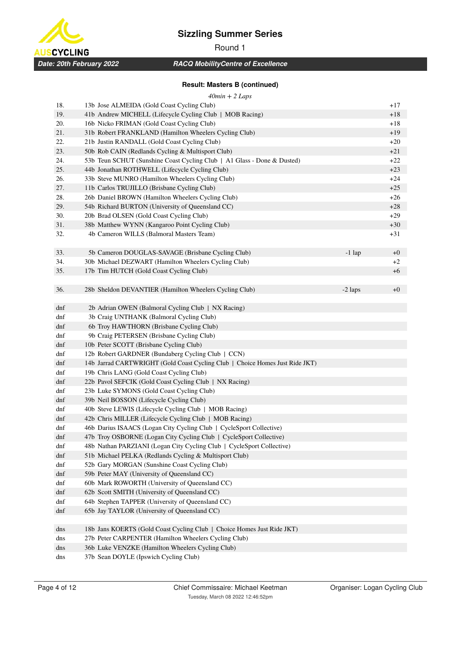



# Round 1

*RACQ MobilityCentre of Excellence*

## **Result: Masters B (continued)**

| $40min + 2$ Laps |  |  |
|------------------|--|--|
|                  |  |  |

| 18. | 13b Jose ALMEIDA (Gold Coast Cycling Club)                                   |           | $+17$ |
|-----|------------------------------------------------------------------------------|-----------|-------|
| 19. | 41b Andrew MICHELL (Lifecycle Cycling Club   MOB Racing)                     |           | $+18$ |
| 20. | 16b Nicko FRIMAN (Gold Coast Cycling Club)                                   |           | $+18$ |
| 21. | 31b Robert FRANKLAND (Hamilton Wheelers Cycling Club)                        |           | $+19$ |
| 22. | 21b Justin RANDALL (Gold Coast Cycling Club)                                 |           | $+20$ |
| 23. | 50b Rob CAIN (Redlands Cycling & Multisport Club)                            |           | $+21$ |
| 24. | 53b Teun SCHUT (Sunshine Coast Cycling Club   A1 Glass - Done & Dusted)      |           | $+22$ |
| 25. | 44b Jonathan ROTHWELL (Lifecycle Cycling Club)                               |           | $+23$ |
| 26. | 33b Steve MUNRO (Hamilton Wheelers Cycling Club)                             |           | $+24$ |
| 27. | 11b Carlos TRUJILLO (Brisbane Cycling Club)                                  |           | $+25$ |
| 28. | 26b Daniel BROWN (Hamilton Wheelers Cycling Club)                            |           | $+26$ |
| 29. | 54b Richard BURTON (University of Queensland CC)                             |           | $+28$ |
| 30. | 20b Brad OLSEN (Gold Coast Cycling Club)                                     |           | $+29$ |
| 31. | 38b Matthew WYNN (Kangaroo Point Cycling Club)                               |           | $+30$ |
| 32. | 4b Cameron WILLS (Balmoral Masters Team)                                     |           | $+31$ |
|     |                                                                              |           |       |
| 33. | 5b Cameron DOUGLAS-SAVAGE (Brisbane Cycling Club)                            | $-1$ lap  | $+0$  |
| 34. | 30b Michael DEZWART (Hamilton Wheelers Cycling Club)                         |           | $+2$  |
| 35. | 17b Tim HUTCH (Gold Coast Cycling Club)                                      |           | $+6$  |
|     |                                                                              |           |       |
| 36. | 28b Sheldon DEVANTIER (Hamilton Wheelers Cycling Club)                       | $-2$ laps | $+0$  |
| dnf | 2b Adrian OWEN (Balmoral Cycling Club   NX Racing)                           |           |       |
| dnf | 3b Craig UNTHANK (Balmoral Cycling Club)                                     |           |       |
| dnf | 6b Troy HAWTHORN (Brisbane Cycling Club)                                     |           |       |
| dnf | 9b Craig PETERSEN (Brisbane Cycling Club)                                    |           |       |
| dnf | 10b Peter SCOTT (Brisbane Cycling Club)                                      |           |       |
| dnf | 12b Robert GARDNER (Bundaberg Cycling Club   CCN)                            |           |       |
| dnf | 14b Jarrad CARTWRIGHT (Gold Coast Cycling Club   Choice Homes Just Ride JKT) |           |       |
| dnf | 19b Chris LANG (Gold Coast Cycling Club)                                     |           |       |
| dnf | 22b Pavol SEFCIK (Gold Coast Cycling Club   NX Racing)                       |           |       |
| dnf | 23b Luke SYMONS (Gold Coast Cycling Club)                                    |           |       |
| dnf | 39b Neil BOSSON (Lifecycle Cycling Club)                                     |           |       |
| dnf | 40b Steve LEWIS (Lifecycle Cycling Club   MOB Racing)                        |           |       |
| dnf | 42b Chris MILLER (Lifecycle Cycling Club   MOB Racing)                       |           |       |
| dnf | 46b Darius ISAACS (Logan City Cycling Club   CycleSport Collective)          |           |       |
| dnf | 47b Troy OSBORNE (Logan City Cycling Club   CycleSport Collective)           |           |       |
| dnf | 48b Nathan PARZIANI (Logan City Cycling Club   CycleSport Collective)        |           |       |
| dnf | 51b Michael PELKA (Redlands Cycling & Multisport Club)                       |           |       |
| dnf | 52b Gary MORGAN (Sunshine Coast Cycling Club)                                |           |       |
| dnf | 59b Peter MAY (University of Queensland CC)                                  |           |       |
| dnf | 60b Mark ROWORTH (University of Queensland CC)                               |           |       |
| dnf | 62b Scott SMITH (University of Queensland CC)                                |           |       |
| dnf | 64b Stephen TAPPER (University of Queensland CC)                             |           |       |
| dnf | 65b Jay TAYLOR (University of Queensland CC)                                 |           |       |
|     |                                                                              |           |       |
| dns | 18b Jans KOERTS (Gold Coast Cycling Club   Choice Homes Just Ride JKT)       |           |       |
| dns | 27b Peter CARPENTER (Hamilton Wheelers Cycling Club)                         |           |       |
| dns | 36b Luke VENZKE (Hamilton Wheelers Cycling Club)                             |           |       |
| dns | 37b Sean DOYLE (Ipswich Cycling Club)                                        |           |       |
|     |                                                                              |           |       |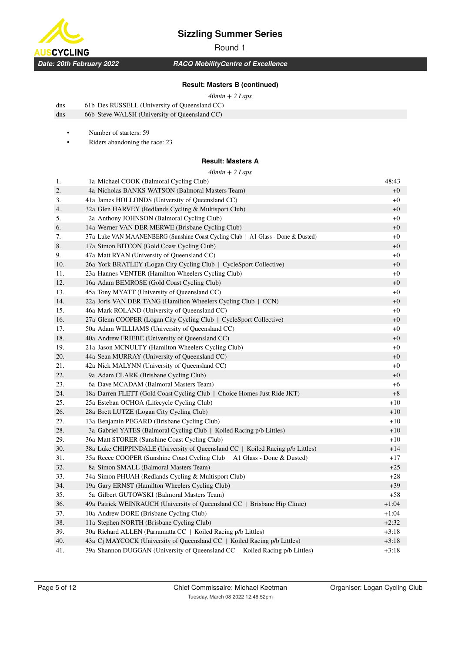

Round 1

*RACQ MobilityCentre of Excellence*

#### **Result: Masters B (continued)**

#### *40min + 2 Laps*

| dns | 61b Des RUSSELL (University of Queensland CC) |
|-----|-----------------------------------------------|
| dns | 66b Steve WALSH (University of Queensland CC) |

• Number of starters: 59

• Riders abandoning the race: 23

#### **Result: Masters A**

#### *40min + 2 Laps*

| 1.  | 40min + 2 Laps<br>1a Michael COOK (Balmoral Cycling Club)                        | 48:43   |
|-----|----------------------------------------------------------------------------------|---------|
| 2.  | 4a Nicholas BANKS-WATSON (Balmoral Masters Team)                                 | $+0$    |
| 3.  | 41a James HOLLONDS (University of Queensland CC)                                 | $+0$    |
| 4.  | 32a Glen HARVEY (Redlands Cycling & Multisport Club)                             | $+0$    |
| 5.  | 2a Anthony JOHNSON (Balmoral Cycling Club)                                       | $+0$    |
| 6.  | 14a Werner VAN DER MERWE (Brisbane Cycling Club)                                 | $+0$    |
| 7.  | 37a Luke VAN MAANENBERG (Sunshine Coast Cycling Club   A1 Glass - Done & Dusted) | $+0$    |
| 8.  | 17a Simon BITCON (Gold Coast Cycling Club)                                       | $+0$    |
| 9.  | 47a Matt RYAN (University of Queensland CC)                                      | $+0$    |
| 10. | 26a York BRATLEY (Logan City Cycling Club   CycleSport Collective)               | $+0$    |
| 11. | 23a Hannes VENTER (Hamilton Wheelers Cycling Club)                               | $+0$    |
| 12. | 16a Adam BEMROSE (Gold Coast Cycling Club)                                       | $+0$    |
| 13. | 45a Tony MYATT (University of Queensland CC)                                     | $+0$    |
| 14. | 22a Joris VAN DER TANG (Hamilton Wheelers Cycling Club   CCN)                    | $+0$    |
| 15. | 46a Mark ROLAND (University of Queensland CC)                                    | $+0$    |
| 16. | 27a Glenn COOPER (Logan City Cycling Club   CycleSport Collective)               | $+0$    |
| 17. | 50a Adam WILLIAMS (University of Queensland CC)                                  | $+0$    |
| 18. | 40a Andrew FRIEBE (University of Queensland CC)                                  | $+0$    |
| 19. | 21a Jason MCNULTY (Hamilton Wheelers Cycling Club)                               | $+0$    |
| 20. | 44a Sean MURRAY (University of Queensland CC)                                    | $+0$    |
| 21. | 42a Nick MALYNN (University of Queensland CC)                                    | $+0$    |
| 22. | 9a Adam CLARK (Brisbane Cycling Club)                                            | $+0$    |
| 23. | 6a Dave MCADAM (Balmoral Masters Team)                                           | $+6$    |
| 24. | 18a Darren FLETT (Gold Coast Cycling Club   Choice Homes Just Ride JKT)          | $+8$    |
| 25. | 25a Esteban OCHOA (Lifecycle Cycling Club)                                       | $+10$   |
| 26. | 28a Brett LUTZE (Logan City Cycling Club)                                        | $+10$   |
| 27. | 13a Benjamin PEGARD (Brisbane Cycling Club)                                      | $+10$   |
| 28. | 3a Gabriel YATES (Balmoral Cycling Club   Koiled Racing p/b Littles)             | $+10$   |
| 29. | 36a Matt STORER (Sunshine Coast Cycling Club)                                    | $+10$   |
| 30. | 38a Luke CHIPPINDALE (University of Queensland CC   Koiled Racing p/b Littles)   | $+14$   |
| 31. | 35a Reece COOPER (Sunshine Coast Cycling Club   A1 Glass - Done & Dusted)        | $+17$   |
| 32. | 8a Simon SMALL (Balmoral Masters Team)                                           | $+25$   |
| 33. | 34a Simon PHUAH (Redlands Cycling & Multisport Club)                             | $+28$   |
| 34. | 19a Gary ERNST (Hamilton Wheelers Cycling Club)                                  | $+39$   |
| 35. | 5a Gilbert GUTOWSKI (Balmoral Masters Team)                                      | $+58$   |
| 36. | 49a Patrick WEINRAUCH (University of Queensland CC   Brisbane Hip Clinic)        | $+1:04$ |
| 37. | 10a Andrew DORE (Brisbane Cycling Club)                                          | $+1:04$ |
| 38. | 11a Stephen NORTH (Brisbane Cycling Club)                                        | $+2:32$ |
| 39. | 30a Richard ALLEN (Parramatta CC   Koiled Racing p/b Littles)                    | $+3:18$ |
| 40. | 43a Cj MAYCOCK (University of Queensland CC   Koiled Racing p/b Littles)         | $+3:18$ |
| 41. | 39a Shannon DUGGAN (University of Queensland CC   Koiled Racing p/b Littles)     | $+3:18$ |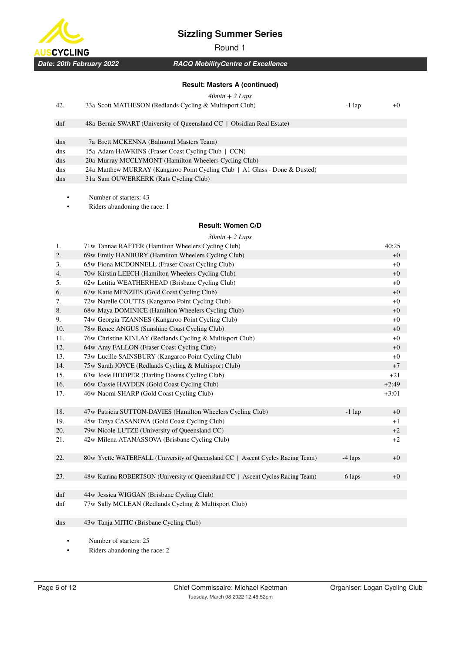

Round 1



## *RACQ MobilityCentre of Excellence*

#### **Result: Masters A (continued)**

### *40min + 2 Laps*

| 42. | 33a Scott MATHESON (Redlands Cycling & Multisport Club) | $+0$<br>1 lap |
|-----|---------------------------------------------------------|---------------|
|-----|---------------------------------------------------------|---------------|

| dnf | 48a Bernie SWART (University of Queensland CC   Obsidian Real Estate)       |
|-----|-----------------------------------------------------------------------------|
|     |                                                                             |
| dns | 7a Brett MCKENNA (Balmoral Masters Team)                                    |
| dns | 15a Adam HAWKINS (Fraser Coast Cycling Club   CCN)                          |
| dns | 20a Murray MCCLYMONT (Hamilton Wheelers Cycling Club)                       |
| dns | 24a Matthew MURRAY (Kangaroo Point Cycling Club   A1 Glass - Done & Dusted) |
| dns | 31a Sam OUWERKERK (Rats Cycling Club)                                       |
|     |                                                                             |

• Number of starters: 43

Riders abandoning the race: 1

## **Result: Women C/D**

|     | $30min + 2$ Laps                                                                |           |         |
|-----|---------------------------------------------------------------------------------|-----------|---------|
| 1.  | 71w Tannae RAFTER (Hamilton Wheelers Cycling Club)                              |           | 40:25   |
| 2.  | 69w Emily HANBURY (Hamilton Wheelers Cycling Club)                              |           | $+0$    |
| 3.  | 65w Fiona MCDONNELL (Fraser Coast Cycling Club)                                 |           | $+0$    |
| 4.  | 70w Kirstin LEECH (Hamilton Wheelers Cycling Club)                              |           | $+0$    |
| 5.  | 62w Letitia WEATHERHEAD (Brisbane Cycling Club)                                 |           | $+0$    |
| 6.  | 67w Katie MENZIES (Gold Coast Cycling Club)                                     |           | $+0$    |
| 7.  | 72w Narelle COUTTS (Kangaroo Point Cycling Club)                                |           | $+0$    |
| 8.  | 68w Maya DOMINICE (Hamilton Wheelers Cycling Club)                              |           | $+0$    |
| 9.  | 74w Georgia TZANNES (Kangaroo Point Cycling Club)                               |           | $+0$    |
| 10. | 78w Renee ANGUS (Sunshine Coast Cycling Club)                                   |           | $+0$    |
| 11. | 76w Christine KINLAY (Redlands Cycling & Multisport Club)                       |           | $+0$    |
| 12. | 64w Amy FALLON (Fraser Coast Cycling Club)                                      |           | $+0$    |
| 13. | 73w Lucille SAINSBURY (Kangaroo Point Cycling Club)                             |           | $+0$    |
| 14. | 75w Sarah JOYCE (Redlands Cycling & Multisport Club)                            |           | $+7$    |
| 15. | 63w Josie HOOPER (Darling Downs Cycling Club)                                   |           | $+21$   |
| 16. | 66w Cassie HAYDEN (Gold Coast Cycling Club)                                     |           | $+2:49$ |
| 17. | 46w Naomi SHARP (Gold Coast Cycling Club)                                       |           | $+3:01$ |
|     |                                                                                 |           |         |
| 18. | 47w Patricia SUTTON-DAVIES (Hamilton Wheelers Cycling Club)                     | $-1$ lap  | $+0$    |
| 19. | 45w Tanya CASANOVA (Gold Coast Cycling Club)                                    |           | $+1$    |
| 20. | 79w Nicole LUTZE (University of Queensland CC)                                  |           | $+2$    |
| 21. | 42w Milena ATANASSOVA (Brisbane Cycling Club)                                   |           | $+2$    |
| 22. | 80w Yvette WATERFALL (University of Queensland CC   Ascent Cycles Racing Team)  | $-4$ laps | $+0$    |
|     |                                                                                 |           |         |
| 23. | 48w Katrina ROBERTSON (University of Queensland CC   Ascent Cycles Racing Team) | $-6$ laps | $+0$    |
|     |                                                                                 |           |         |
| dnf | 44w Jessica WIGGAN (Brisbane Cycling Club)                                      |           |         |
| dnf | 77w Sally MCLEAN (Redlands Cycling & Multisport Club)                           |           |         |
|     |                                                                                 |           |         |
| dns | 43w Tanja MITIC (Brisbane Cycling Club)                                         |           |         |
|     |                                                                                 |           |         |
|     |                                                                                 |           |         |

• Number of starters: 25

• Riders abandoning the race: 2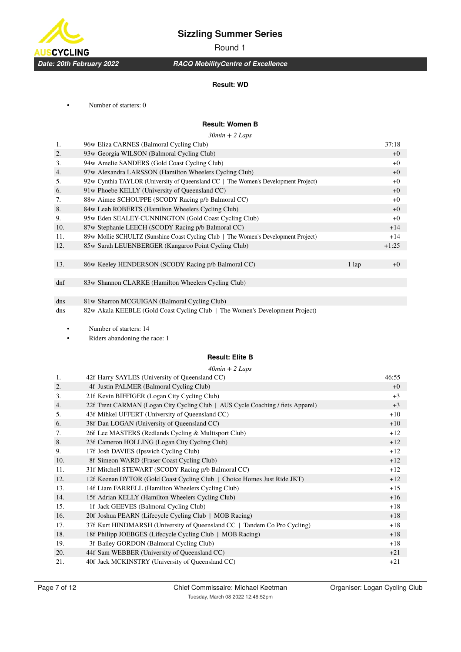

Round 1

## *RACQ MobilityCentre of Excellence*

#### **Result: WD**

• Number of starters: 0

## **Result: Women B**

*30min + 2 Laps*

| 1.  | 96w Eliza CARNES (Balmoral Cycling Club)                                           |          | 37:18   |
|-----|------------------------------------------------------------------------------------|----------|---------|
| 2.  | 93w Georgia WILSON (Balmoral Cycling Club)                                         |          | $+0$    |
| 3.  | 94w Amelie SANDERS (Gold Coast Cycling Club)                                       |          | $+0$    |
| 4.  | 97w Alexandra LARSSON (Hamilton Wheelers Cycling Club)                             |          | $+0$    |
| 5.  | 92w Cynthia TAYLOR (University of Queensland CC   The Women's Development Project) |          | $+0$    |
| 6.  | 91w Phoebe KELLY (University of Queensland CC)                                     |          | $+0$    |
| 7.  | 88w Aimee SCHOUPPE (SCODY Racing p/b Balmoral CC)                                  |          | $+0$    |
| 8.  | 84w Leah ROBERTS (Hamilton Wheelers Cycling Club)                                  |          | $+0$    |
| 9.  | 95w Eden SEALEY-CUNNINGTON (Gold Coast Cycling Club)                               |          | $+0$    |
| 10. | 87w Stephanie LEECH (SCODY Racing p/b Balmoral CC)                                 |          | $+14$   |
| 11. | 89w Mollie SCHULTZ (Sunshine Coast Cycling Club   The Women's Development Project) |          | $+14$   |
| 12. | 85w Sarah LEUENBERGER (Kangaroo Point Cycling Club)                                |          | $+1:25$ |
|     |                                                                                    |          |         |
| 13. | 86w Keeley HENDERSON (SCODY Racing p/b Balmoral CC)                                | $-1$ lap | $+0$    |
|     |                                                                                    |          |         |
| dnf | 83w Shannon CLARKE (Hamilton Wheelers Cycling Club)                                |          |         |
|     |                                                                                    |          |         |
| dns | 81w Sharron MCGUIGAN (Balmoral Cycling Club)                                       |          |         |
| dns | 82w Akala KEEBLE (Gold Coast Cycling Club   The Women's Development Project)       |          |         |
|     |                                                                                    |          |         |
|     | Number of starters: 14                                                             |          |         |
|     |                                                                                    |          |         |

• Riders abandoning the race: 1

#### **Result: Elite B**

|     | $40min + 2$ Laps                                                                |       |
|-----|---------------------------------------------------------------------------------|-------|
| 1.  | 42f Harry SAYLES (University of Queensland CC)                                  | 46:55 |
| 2.  | 4f Justin PALMER (Balmoral Cycling Club)                                        | $+0$  |
| 3.  | 21f Kevin BIFFIGER (Logan City Cycling Club)                                    | $+3$  |
| 4.  | 22f Trent CARMAN (Logan City Cycling Club   AUS Cycle Coaching / fiets Apparel) | $+3$  |
| 5.  | 43f Mihkel UFFERT (University of Queensland CC)                                 | $+10$ |
| 6.  | 38f Dan LOGAN (University of Queensland CC)                                     | $+10$ |
| 7.  | 26f Lee MASTERS (Redlands Cycling & Multisport Club)                            | $+12$ |
| 8.  | 23f Cameron HOLLING (Logan City Cycling Club)                                   | $+12$ |
| 9.  | 17f Josh DAVIES (Ipswich Cycling Club)                                          | $+12$ |
| 10. | 8f Simeon WARD (Fraser Coast Cycling Club)                                      | $+12$ |
| 11. | 31f Mitchell STEWART (SCODY Racing p/b Balmoral CC)                             | $+12$ |
| 12. | 12f Keenan DYTOR (Gold Coast Cycling Club   Choice Homes Just Ride JKT)         | $+12$ |
| 13. | 14f Liam FARRELL (Hamilton Wheelers Cycling Club)                               | $+15$ |
| 14. | 15f Adrian KELLY (Hamilton Wheelers Cycling Club)                               | $+16$ |
| 15. | 1f Jack GEEVES (Balmoral Cycling Club)                                          | $+18$ |
| 16. | 20f Joshua PEARN (Lifecycle Cycling Club   MOB Racing)                          | $+18$ |
| 17. | 37f Kurt HINDMARSH (University of Queensland CC   Tandem Co Pro Cycling)        | $+18$ |
| 18. | 18f Philipp JOEBGES (Lifecycle Cycling Club   MOB Racing)                       | $+18$ |
| 19. | 3f Bailey GORDON (Balmoral Cycling Club)                                        | $+18$ |
| 20. | 44f Sam WEBBER (University of Queensland CC)                                    | $+21$ |
| 21. | 40f Jack MCKINSTRY (University of Queensland CC)                                | $+21$ |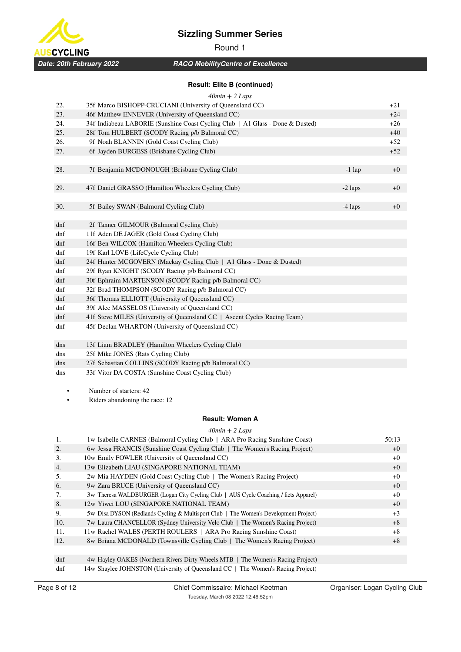

**ISCYCLING** *Date: 20th February 2022*

# *RACQ MobilityCentre of Excellence*

## **Result: Elite B (continued)**

| $40min + 2$ Laps |  |
|------------------|--|

|     | $40mn + 2 \text{ Laps}$                                                        |           |       |
|-----|--------------------------------------------------------------------------------|-----------|-------|
| 22. | 35f Marco BISHOPP-CRUCIANI (University of Queensland CC)                       |           | $+21$ |
| 23. | 46f Matthew ENNEVER (University of Queensland CC)                              |           | $+24$ |
| 24. | 34f Indiabeau LABORIE (Sunshine Coast Cycling Club   A1 Glass - Done & Dusted) |           | $+26$ |
| 25. | 28f Tom HULBERT (SCODY Racing p/b Balmoral CC)                                 |           | $+40$ |
| 26. | 9f Noah BLANNIN (Gold Coast Cycling Club)                                      |           | $+52$ |
| 27. | 6f Jayden BURGESS (Brisbane Cycling Club)                                      |           | $+52$ |
|     |                                                                                |           |       |
| 28. | 7f Benjamin MCDONOUGH (Brisbane Cycling Club)                                  | $-1$ lap  | $+0$  |
|     |                                                                                |           |       |
| 29. | 47f Daniel GRASSO (Hamilton Wheelers Cycling Club)                             | $-2$ laps | $+0$  |
|     |                                                                                |           |       |
| 30. | 5f Bailey SWAN (Balmoral Cycling Club)                                         | $-4$ laps | $+0$  |
|     |                                                                                |           |       |
| dnf | 2f Tanner GILMOUR (Balmoral Cycling Club)                                      |           |       |
| dnf | 11f Aden DE JAGER (Gold Coast Cycling Club)                                    |           |       |
| dnf | 16f Ben WILCOX (Hamilton Wheelers Cycling Club)                                |           |       |
| dnf | 19f Karl LOVE (LifeCycle Cycling Club)                                         |           |       |
| dnf | 24f Hunter MCGOVERN (Mackay Cycling Club   A1 Glass - Done & Dusted)           |           |       |
| dnf | 29f Ryan KNIGHT (SCODY Racing p/b Balmoral CC)                                 |           |       |
| dnf | 30f Ephraim MARTENSON (SCODY Racing p/b Balmoral CC)                           |           |       |
| dnf | 32f Brad THOMPSON (SCODY Racing p/b Balmoral CC)                               |           |       |
| dnf | 36f Thomas ELLIOTT (University of Queensland CC)                               |           |       |
| dnf | 39f Alec MASSELOS (University of Queensland CC)                                |           |       |
| dnf | 41f Steve MILES (University of Queensland CC   Ascent Cycles Racing Team)      |           |       |
| dnf | 45f Declan WHARTON (University of Queensland CC)                               |           |       |
|     |                                                                                |           |       |
| dns | 13f Liam BRADLEY (Hamilton Wheelers Cycling Club)                              |           |       |
| dns | 25f Mike JONES (Rats Cycling Club)                                             |           |       |
| dns | 27f Sebastian COLLINS (SCODY Racing p/b Balmoral CC)                           |           |       |
| dns | 33f Vitor DA COSTA (Sunshine Coast Cycling Club)                               |           |       |

• Number of starters: 42

• Riders abandoning the race: 12

## **Result: Women A**

*40min + 2 Laps*

| 1.  | 1w Isabelle CARNES (Balmoral Cycling Club   ARA Pro Racing Sunshine Coast)           | 50:13 |
|-----|--------------------------------------------------------------------------------------|-------|
| 2.  | 6w Jessa FRANCIS (Sunshine Coast Cycling Club   The Women's Racing Project)          | $+0$  |
| 3.  | 10w Emily FOWLER (University of Queensland CC)                                       | $+0$  |
| 4.  | 13w Elizabeth LIAU (SINGAPORE NATIONAL TEAM)                                         | $+0$  |
| 5.  | 2w Mia HAYDEN (Gold Coast Cycling Club   The Women's Racing Project)                 | $+0$  |
| 6.  | 9w Zara BRUCE (University of Queensland CC)                                          | $+0$  |
| 7.  | 3w Theresa WALDBURGER (Logan City Cycling Club   AUS Cycle Coaching / fiets Apparel) | $+0$  |
| 8.  | 12w Yiwei LOU (SINGAPORE NATIONAL TEAM)                                              | $+0$  |
| 9.  | 5w Disa DYSON (Redlands Cycling & Multisport Club   The Women's Development Project) | $+3$  |
| 10. | 7w Laura CHANCELLOR (Sydney University Velo Club   The Women's Racing Project)       | $+8$  |
| 11. | 11w Rachel WALES (PERTH ROULERS   ARA Pro Racing Sunshine Coast)                     | $+8$  |
| 12. | 8w Briana MCDONALD (Townsville Cycling Club   The Women's Racing Project)            | $+8$  |
|     |                                                                                      |       |
| dnf | 4w Hayley OAKES (Northern Rivers Dirty Wheels MTB   The Women's Racing Project)      |       |
| dnf | 14w Shaylee JOHNSTON (University of Queensland CC   The Women's Racing Project)      |       |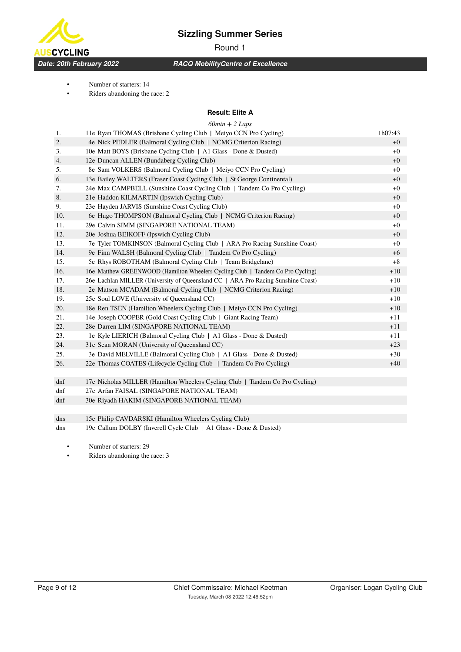Round 1

*Date: 20th February 2022*

**SCYCLING** 

## *RACQ MobilityCentre of Excellence*

• Number of starters: 14

• Riders abandoning the race: 2

#### **Result: Elite A**

|     | $60min + 2$ Laps                                                                 |         |
|-----|----------------------------------------------------------------------------------|---------|
| 1.  | 11e Ryan THOMAS (Brisbane Cycling Club   Meiyo CCN Pro Cycling)                  | 1h07:43 |
| 2.  | 4e Nick PEDLER (Balmoral Cycling Club   NCMG Criterion Racing)                   | $+0$    |
| 3.  | 10e Matt BOYS (Brisbane Cycling Club   A1 Glass - Done & Dusted)                 | $+0$    |
| 4.  | 12e Duncan ALLEN (Bundaberg Cycling Club)                                        | $+0$    |
| 5.  | 8e Sam VOLKERS (Balmoral Cycling Club   Meiyo CCN Pro Cycling)                   | $+0$    |
| 6.  | 13e Bailey WALTERS (Fraser Coast Cycling Club   St George Continental)           | $+0$    |
| 7.  | 24e Max CAMPBELL (Sunshine Coast Cycling Club   Tandem Co Pro Cycling)           | $+0$    |
| 8.  | 21e Haddon KILMARTIN (Ipswich Cycling Club)                                      | $+0$    |
| 9.  | 23e Hayden JARVIS (Sunshine Coast Cycling Club)                                  | $+0$    |
| 10. | 6e Hugo THOMPSON (Balmoral Cycling Club   NCMG Criterion Racing)                 | $+0$    |
| 11. | 29e Calvin SIMM (SINGAPORE NATIONAL TEAM)                                        | $+0$    |
| 12. | 20e Joshua BEIKOFF (Ipswich Cycling Club)                                        | $+0$    |
| 13. | 7e Tyler TOMKINSON (Balmoral Cycling Club   ARA Pro Racing Sunshine Coast)       | $+0$    |
| 14. | 9e Finn WALSH (Balmoral Cycling Club   Tandem Co Pro Cycling)                    | $+6$    |
| 15. | 5e Rhys ROBOTHAM (Balmoral Cycling Club   Team Bridgelane)                       | $+8$    |
| 16. | 16e Matthew GREENWOOD (Hamilton Wheelers Cycling Club   Tandem Co Pro Cycling)   | $+10$   |
| 17. | 26e Lachlan MILLER (University of Queensland CC   ARA Pro Racing Sunshine Coast) | $+10$   |
| 18. | 2e Matson MCADAM (Balmoral Cycling Club   NCMG Criterion Racing)                 | $+10$   |
| 19. | 25e Soul LOVE (University of Queensland CC)                                      | $+10$   |
| 20. | 18e Ren TSEN (Hamilton Wheelers Cycling Club   Meiyo CCN Pro Cycling)            | $+10$   |
| 21. | 14e Joseph COOPER (Gold Coast Cycling Club   Giant Racing Team)                  | $+11$   |
| 22. | 28e Darren LIM (SINGAPORE NATIONAL TEAM)                                         | $+11$   |
| 23. | 1e Kyle LIERICH (Balmoral Cycling Club   A1 Glass - Done & Dusted)               | $+11$   |
| 24. | 31e Sean MORAN (University of Queensland CC)                                     | $+23$   |
| 25. | 3e David MELVILLE (Balmoral Cycling Club   A1 Glass - Done & Dusted)             | $+30$   |
| 26. | 22e Thomas COATES (Lifecycle Cycling Club   Tandem Co Pro Cycling)               | $+40$   |
|     |                                                                                  |         |
| dnf | 17e Nicholas MILLER (Hamilton Wheelers Cycling Club   Tandem Co Pro Cycling)     |         |

dnf 27e Arfan FAISAL (SINGAPORE NATIONAL TEAM)

dnf 30e Riyadh HAKIM (SINGAPORE NATIONAL TEAM)

dns 15e Philip CAVDARSKI (Hamilton Wheelers Cycling Club)

dns 19e Callum DOLBY (Inverell Cycle Club | A1 Glass - Done & Dusted)

• Number of starters: 29

Riders abandoning the race: 3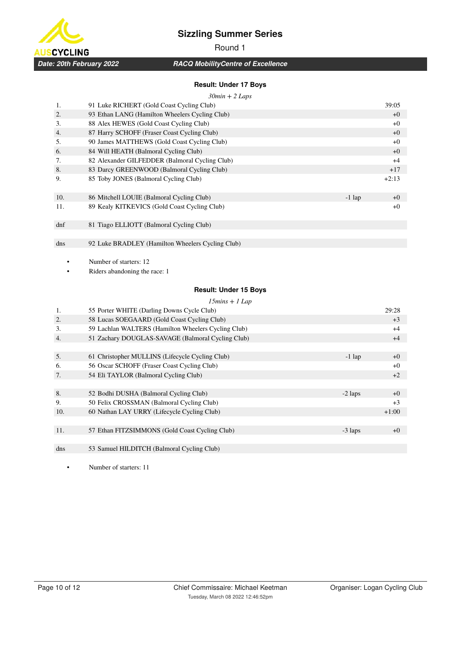

# Round 1

*RACQ MobilityCentre of Excellence*

## **Result: Under 17 Boys**

|     | $30min + 2$ Laps                                 |          |         |
|-----|--------------------------------------------------|----------|---------|
| 1.  | 91 Luke RICHERT (Gold Coast Cycling Club)        |          | 39:05   |
| 2.  | 93 Ethan LANG (Hamilton Wheelers Cycling Club)   |          | $+0$    |
| 3.  | 88 Alex HEWES (Gold Coast Cycling Club)          |          | $+0$    |
| 4.  | 87 Harry SCHOFF (Fraser Coast Cycling Club)      |          | $+0$    |
| 5.  | 90 James MATTHEWS (Gold Coast Cycling Club)      |          | $+0$    |
| 6.  | 84 Will HEATH (Balmoral Cycling Club)            |          | $+0$    |
| 7.  | 82 Alexander GILFEDDER (Balmoral Cycling Club)   |          | $+4$    |
| 8.  | 83 Darcy GREENWOOD (Balmoral Cycling Club)       |          | $+17$   |
| 9.  | 85 Toby JONES (Balmoral Cycling Club)            |          | $+2:13$ |
| 10. | 86 Mitchell LOUIE (Balmoral Cycling Club)        | $-1$ lap | $+0$    |
| 11. | 89 Kealy KITKEVICS (Gold Coast Cycling Club)     |          | $+0$    |
| dnf | 81 Tiago ELLIOTT (Balmoral Cycling Club)         |          |         |
|     |                                                  |          |         |
| dns | 92 Luke BRADLEY (Hamilton Wheelers Cycling Club) |          |         |

Number of starters: 12

Riders abandoning the race: 1

## **Result: Under 15 Boys**

#### *15mins + 1 Lap*

| 1.  | 55 Porter WHITE (Darling Downs Cycle Club)          |           | 29:28   |
|-----|-----------------------------------------------------|-----------|---------|
| 2.  | 58 Lucas SOEGAARD (Gold Coast Cycling Club)         |           | $+3$    |
| 3.  | 59 Lachlan WALTERS (Hamilton Wheelers Cycling Club) |           | $+4$    |
| 4.  | 51 Zachary DOUGLAS-SAVAGE (Balmoral Cycling Club)   |           | $+4$    |
|     |                                                     |           |         |
| 5.  | 61 Christopher MULLINS (Lifecycle Cycling Club)     | $-1$ lap  | $+0$    |
| 6.  | 56 Oscar SCHOFF (Fraser Coast Cycling Club)         |           | $+0$    |
| 7.  | 54 Eli TAYLOR (Balmoral Cycling Club)               |           | $+2$    |
|     |                                                     |           |         |
| 8.  | 52 Bodhi DUSHA (Balmoral Cycling Club)              | $-2$ laps | $+0$    |
| 9.  | 50 Felix CROSSMAN (Balmoral Cycling Club)           |           | $+3$    |
| 10. | 60 Nathan LAY URRY (Lifecycle Cycling Club)         |           | $+1:00$ |
|     |                                                     |           |         |
| 11. | 57 Ethan FITZSIMMONS (Gold Coast Cycling Club)      | $-3$ laps | $+0$    |
|     |                                                     |           |         |
| dns | 53 Samuel HILDITCH (Balmoral Cycling Club)          |           |         |

• Number of starters: 11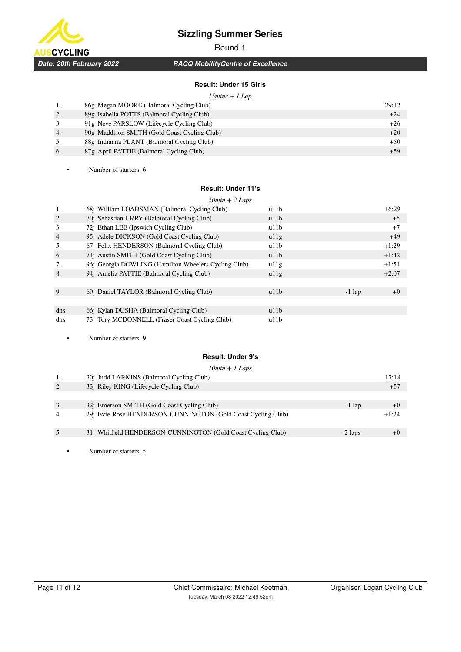Round 1

*Date: 20th February 2022*

**JSCYCLING** 

# *RACQ MobilityCentre of Excellence*

## **Result: Under 15 Girls**

|    | $15 \text{mins} + 1 \text{Lap}$              |       |
|----|----------------------------------------------|-------|
| 1. | 86g Megan MOORE (Balmoral Cycling Club)      | 29:12 |
| 2. | 89g Isabella POTTS (Balmoral Cycling Club)   | $+24$ |
| 3. | 91g Neve PARSLOW (Lifecycle Cycling Club)    | $+26$ |
| 4. | 90g Maddison SMITH (Gold Coast Cycling Club) | $+20$ |
| 5. | 88g Indianna PLANT (Balmoral Cycling Club)   | $+50$ |
| 6. | 87g April PATTIE (Balmoral Cycling Club)     | $+59$ |

• Number of starters: 6

#### **Result: Under 11's**

|     | $20min + 2 \text{ Laps}$                             |      |          |         |
|-----|------------------------------------------------------|------|----------|---------|
| 1.  | 68j William LOADSMAN (Balmoral Cycling Club)         | u11b |          | 16:29   |
| 2.  | 70j Sebastian URRY (Balmoral Cycling Club)           | u11b |          | $+5$    |
| 3.  | 72j Ethan LEE (Ipswich Cycling Club)                 | u11b |          | $+7$    |
| 4.  | 95j Adele DICKSON (Gold Coast Cycling Club)          | u11g |          | $+49$   |
| 5.  | 67j Felix HENDERSON (Balmoral Cycling Club)          | u11b |          | $+1:29$ |
| 6.  | 71j Austin SMITH (Gold Coast Cycling Club)           | u11b |          | $+1:42$ |
| 7.  | 96j Georgia DOWLING (Hamilton Wheelers Cycling Club) | u11g |          | $+1:51$ |
| 8.  | 94j Amelia PATTIE (Balmoral Cycling Club)            | u11g |          | $+2:07$ |
|     |                                                      |      |          |         |
| 9.  | 69i Daniel TAYLOR (Balmoral Cycling Club)            | u11h | $-1$ lap | $+0$    |
|     |                                                      |      |          |         |
| dns | 661 Kylan DUSHA (Balmoral Cycling Club)              | u11b |          |         |
| dns | 73j Tory MCDONNELL (Fraser Coast Cycling Club)       | u11b |          |         |

• Number of starters: 9

#### **Result: Under 9's**

| $10min + 1$ Laps |                                                              |           |         |  |  |
|------------------|--------------------------------------------------------------|-----------|---------|--|--|
|                  | 30j Judd LARKINS (Balmoral Cycling Club)                     |           | 17:18   |  |  |
| 2.               | 33j Riley KING (Lifecycle Cycling Club)                      |           | $+57$   |  |  |
|                  |                                                              |           |         |  |  |
| 3.               | 321 Emerson SMITH (Gold Coast Cycling Club)                  | $-1$ lap  | $+()$   |  |  |
| $\overline{4}$ . | 29j Evie-Rose HENDERSON-CUNNINGTON (Gold Coast Cycling Club) |           | $+1:24$ |  |  |
| 5.               | 31j Whitfield HENDERSON-CUNNINGTON (Gold Coast Cycling Club) | $-2$ laps | $+()$   |  |  |
|                  |                                                              |           |         |  |  |

• Number of starters: 5